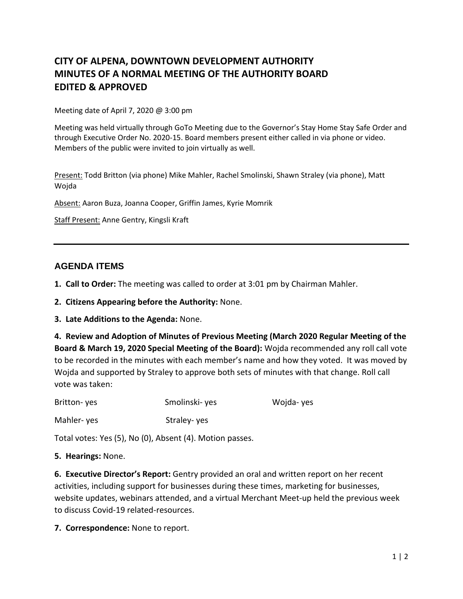## **CITY OF ALPENA, DOWNTOWN DEVELOPMENT AUTHORITY MINUTES OF A NORMAL MEETING OF THE AUTHORITY BOARD EDITED & APPROVED**

Meeting date of April 7, 2020 @ 3:00 pm

Meeting was held virtually through GoTo Meeting due to the Governor's Stay Home Stay Safe Order and through Executive Order No. 2020-15. Board members present either called in via phone or video. Members of the public were invited to join virtually as well.

Present: Todd Britton (via phone) Mike Mahler, Rachel Smolinski, Shawn Straley (via phone), Matt Wojda

Absent: Aaron Buza, Joanna Cooper, Griffin James, Kyrie Momrik

Staff Present: Anne Gentry, Kingsli Kraft

## **AGENDA ITEMS**

- **1. Call to Order:** The meeting was called to order at 3:01 pm by Chairman Mahler.
- **2. Citizens Appearing before the Authority:** None.
- **3. Late Additions to the Agenda:** None.

**4. Review and Adoption of Minutes of Previous Meeting (March 2020 Regular Meeting of the Board & March 19, 2020 Special Meeting of the Board):** Wojda recommended any roll call vote to be recorded in the minutes with each member's name and how they voted. It was moved by Wojda and supported by Straley to approve both sets of minutes with that change. Roll call vote was taken:

| Britton-yes | Smolinski- yes | Wojda-yes |
|-------------|----------------|-----------|
| Mahler-yes  | Straley-yes    |           |

Total votes: Yes (5), No (0), Absent (4). Motion passes.

## **5. Hearings:** None.

**6. Executive Director's Report:** Gentry provided an oral and written report on her recent activities, including support for businesses during these times, marketing for businesses, website updates, webinars attended, and a virtual Merchant Meet-up held the previous week to discuss Covid-19 related-resources.

**7. Correspondence:** None to report.